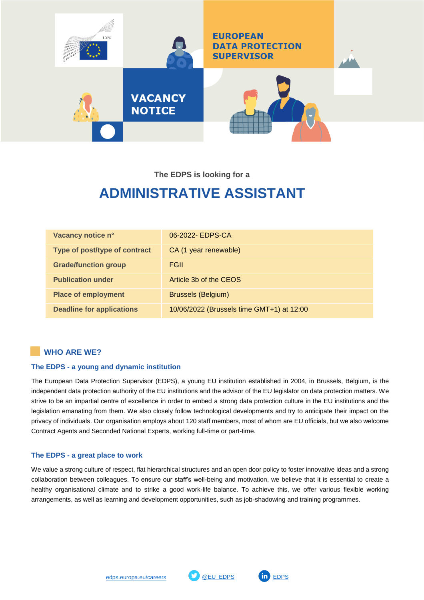

**The EDPS is looking for a**

# **ADMINISTRATIVE ASSISTANT**

| Vacancy notice n°                | 06-2022- EDPS-CA                          |
|----------------------------------|-------------------------------------------|
| Type of post/type of contract    | CA (1 year renewable)                     |
| <b>Grade/function group</b>      | <b>FGII</b>                               |
| <b>Publication under</b>         | Article 3b of the CEOS                    |
| <b>Place of employment</b>       | <b>Brussels (Belgium)</b>                 |
| <b>Deadline for applications</b> | 10/06/2022 (Brussels time GMT+1) at 12:00 |

# **WHO ARE WE?**

## **The EDPS - a young and dynamic institution**

The European Data Protection Supervisor (EDPS), a young EU institution established in 2004, in Brussels, Belgium, is the independent data protection authority of the EU institutions and the advisor of the EU legislator on data protection matters. We strive to be an impartial centre of excellence in order to embed a strong data protection culture in the EU institutions and the legislation emanating from them. We also closely follow technological developments and try to anticipate their impact on the privacy of individuals. Our organisation employs about 120 staff members, most of whom are EU officials, but we also welcome Contract Agents and Seconded National Experts, working full-time or part-time.

## **The EDPS - a great place to work**

We value a strong culture of respect, flat hierarchical structures and an open door policy to foster innovative ideas and a strong collaboration between colleagues. To ensure our staff's well-being and motivation, we believe that it is essential to create a healthy organisational climate and to strike a good work-life balance. To achieve this, we offer various flexible working arrangements, as well as learning and development opportunities, such as job-shadowing and training programmes.



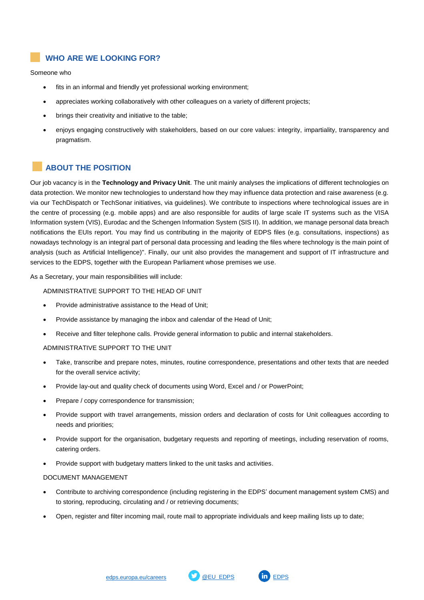# **WHO ARE WE LOOKING FOR?**

Someone who

- fits in an informal and friendly yet professional working environment;
- appreciates working collaboratively with other colleagues on a variety of different projects;
- brings their creativity and initiative to the table;
- enjoys engaging constructively with stakeholders, based on our core values: integrity, impartiality, transparency and pragmatism.

# **ABOUT THE POSITION**

Our job vacancy is in the **Technology and Privacy Unit**. The unit mainly analyses the implications of different technologies on data protection. We monitor new technologies to understand how they may influence data protection and raise awareness (e.g. via our TechDispatch or TechSonar initiatives, via guidelines). We contribute to inspections where technological issues are in the centre of processing (e.g. mobile apps) and are also responsible for audits of large scale IT systems such as the VISA Information system (VIS), Eurodac and the Schengen Information System (SIS II). In addition, we manage personal data breach notifications the EUIs report. You may find us contributing in the majority of EDPS files (e.g. consultations, inspections) as nowadays technology is an integral part of personal data processing and leading the files where technology is the main point of analysis (such as Artificial Intelligence)". Finally, our unit also provides the management and support of IT infrastructure and services to the EDPS, together with the European Parliament whose premises we use.

As a Secretary, your main responsibilities will include:

#### ADMINISTRATIVE SUPPORT TO THE HEAD OF UNIT

- Provide administrative assistance to the Head of Unit;
- Provide assistance by managing the inbox and calendar of the Head of Unit;
- Receive and filter telephone calls. Provide general information to public and internal stakeholders.

## ADMINISTRATIVE SUPPORT TO THE UNIT

- Take, transcribe and prepare notes, minutes, routine correspondence, presentations and other texts that are needed for the overall service activity;
- Provide lay-out and quality check of documents using Word, Excel and / or PowerPoint;
- Prepare / copy correspondence for transmission;
- Provide support with travel arrangements, mission orders and declaration of costs for Unit colleagues according to needs and priorities;
- Provide support for the organisation, budgetary requests and reporting of meetings, including reservation of rooms, catering orders.
- Provide support with budgetary matters linked to the unit tasks and activities.

## DOCUMENT MANAGEMENT

- Contribute to archiving correspondence (including registering in the EDPS' document management system CMS) and to storing, reproducing, circulating and / or retrieving documents;
- Open, register and filter incoming mail, route mail to appropriate individuals and keep mailing lists up to date;

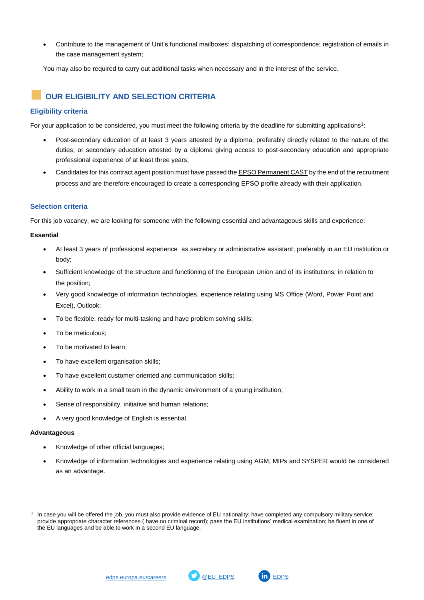Contribute to the management of Unit's functional mailboxes: dispatching of correspondence; registration of emails in the case management system;

You may also be required to carry out additional tasks when necessary and in the interest of the service.

## **OUR ELIGIBILITY AND SELECTION CRITERIA**

## **Eligibility criteria**

For your application to be considered, you must meet the following criteria by the deadline for submitting applications<sup>1</sup>:

- Post-secondary education of at least 3 years attested by a diploma, preferably directly related to the nature of the duties; or secondary education attested by a diploma giving access to post-secondary education and appropriate professional experience of at least three years;
- Candidates for this contract agent position must have passed the [EPSO Permanent CAST](https://epso.europa.eu/documents/2240_en) by the end of the recruitment process and are therefore encouraged to create a corresponding EPSO profile already with their application.

## **Selection criteria**

For this job vacancy, we are looking for someone with the following essential and advantageous skills and experience:

#### **Essential**

- At least 3 years of professional experience as secretary or administrative assistant; preferably in an EU institution or body;
- Sufficient knowledge of the structure and functioning of the European Union and of its institutions, in relation to the position;
- Very good knowledge of information technologies, experience relating using MS Office (Word, Power Point and Excel), Outlook;
- To be flexible, ready for multi-tasking and have problem solving skills;
- To be meticulous:
- To be motivated to learn;
- To have excellent organisation skills;
- To have excellent customer oriented and communication skills;
- Ability to work in a small team in the dynamic environment of a young institution;
- Sense of responsibility, initiative and human relations;
- A very good knowledge of English is essential.

#### **Advantageous**

1

- Knowledge of other official languages;
- Knowledge of information technologies and experience relating using AGM, MIPs and SYSPER would be considered as an advantage.



In case you will be offered the job, you must also provide evidence of EU nationality; have completed any compulsory military service; provide appropriate character references ( have no criminal record); pass the EU institutions' medical examination; be fluent in one of the EU languages and be able to work in a second EU language.